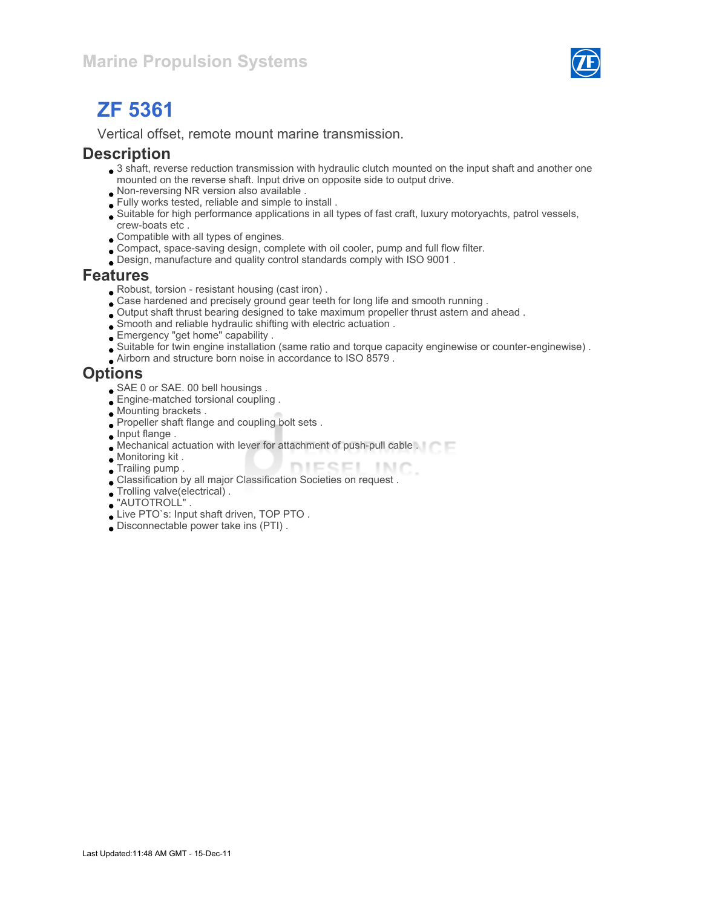

# ZF 5361

Vertical offset, remote mount marine transmission.

#### **Description**

- 3 shaft, reverse reduction transmission with hydraulic clutch mounted on the input shaft and another one mounted on the reverse shaft. Input drive on opposite side to output drive.
- Non-reversing NR version also available .
- Fully works tested, reliable and simple to install .
- Suitable for high performance applications in all types of fast craft, luxury motoryachts, patrol vessels, crew-boats etc .
- Compatible with all types of engines.
- Compact, space-saving design, complete with oil cooler, pump and full flow filter.
- Design, manufacture and quality control standards comply with ISO 9001 .

#### Features

- Robust, torsion resistant housing (cast iron) .
- Case hardened and precisely ground gear teeth for long life and smooth running .
- Output shaft thrust bearing designed to take maximum propeller thrust astern and ahead .
- Smooth and reliable hydraulic shifting with electric actuation .
- Emergency "get home" capability .
- Suitable for twin engine installation (same ratio and torque capacity enginewise or counter-enginewise) .
- Airborn and structure born noise in accordance to ISO 8579 .

### **Options**

- SAE 0 or SAE. 00 bell housings .
- **Engine-matched torsional coupling**.
- Mounting brackets .
- Propeller shaft flange and coupling bolt sets .
- **Input flange.**
- Mechanical actuation with lever for attachment of push-pull cable .
- Monitoring kit .
- DIESEL INC. **Trailing pump.**
- Classification by all major Classification Societies on request .
- Trolling valve(electrical) .
- "AUTOTROLL" .
- Live PTO`s: Input shaft driven, TOP PTO .
- Disconnectable power take ins (PTI) .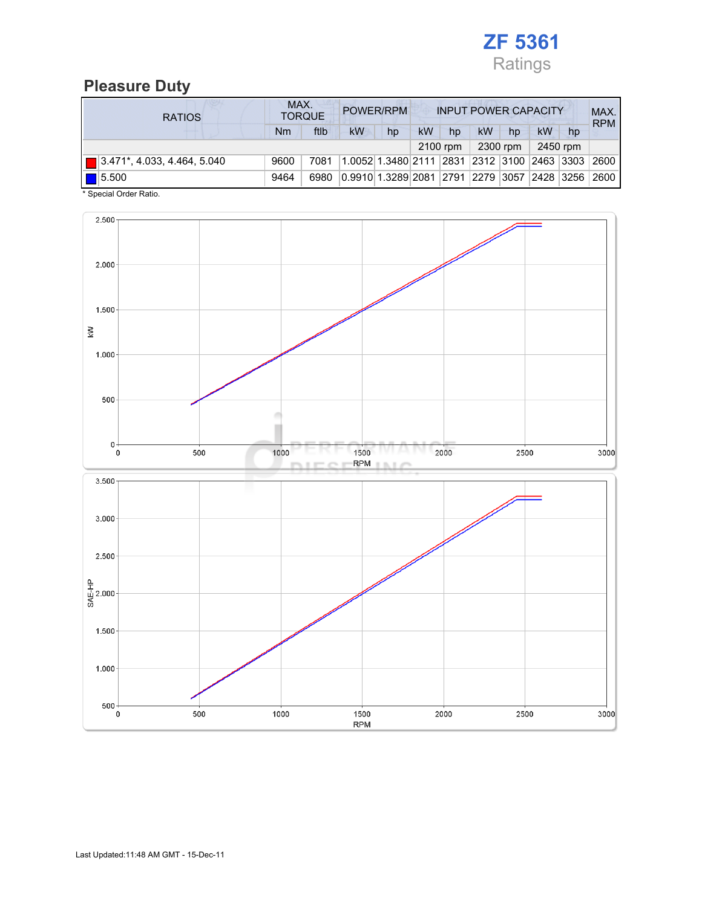

## Pleasure Duty

| <b>RATIOS</b>                      | MAX.<br>POWER/RPM<br><b>TORQUE</b> |      |           |                    | <b>INPUT POWER CAPACITY</b> |    |                              |          |    |          | MAX.<br><b>RPM</b> |
|------------------------------------|------------------------------------|------|-----------|--------------------|-----------------------------|----|------------------------------|----------|----|----------|--------------------|
|                                    | Nm                                 | ftlb | <b>kW</b> | hp                 | kW                          | hp | kW                           | hp       | kW | hp       |                    |
|                                    |                                    |      |           |                    |                             |    |                              | 2300 rpm |    | 2450 rpm |                    |
| $\Box$ 3.471*, 4.033, 4.464, 5.040 | 9600                               | 7081 |           | 1.0052 1.3480 2111 |                             |    | 2831  2312  3100  2463  3303 |          |    |          | 2600               |
| 15.500                             | 9464                               | 6980 |           | 0.9910 1.3289 2081 |                             |    | 2791  2279  3057  2428  3256 |          |    |          | 2600               |

\* Special Order Ratio.

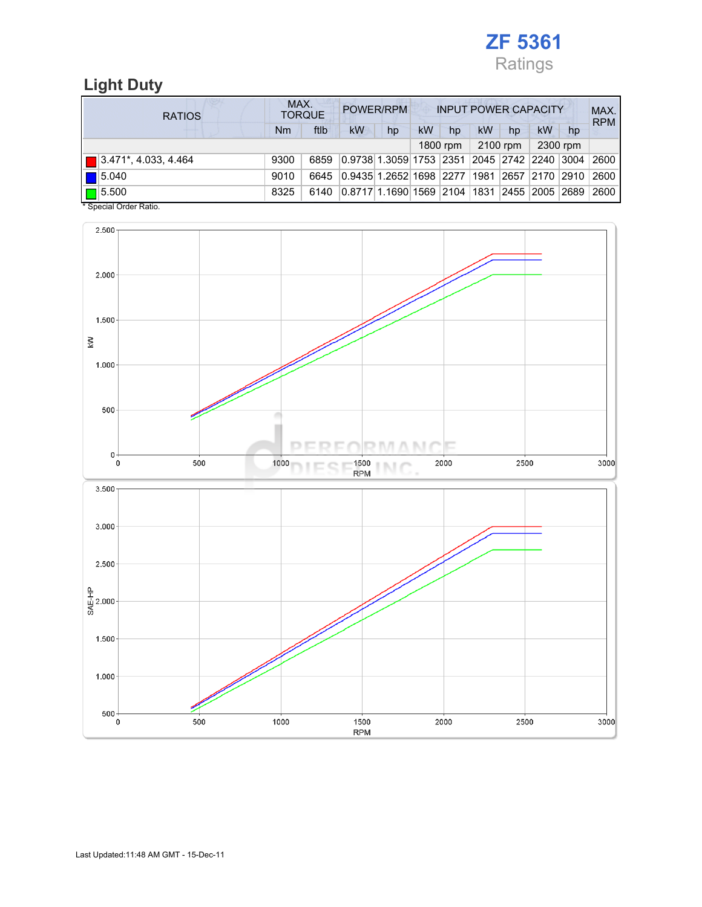

## Light Duty

| <b>RATIOS</b>                            | MAX.<br>POWER/RPM<br><b>INPUT POWER CAPACITY</b><br><b>TORQUE</b> |      |                                            |    |    |    |           |    |                    | MAX.<br><b>RPM</b> |      |
|------------------------------------------|-------------------------------------------------------------------|------|--------------------------------------------|----|----|----|-----------|----|--------------------|--------------------|------|
|                                          | Nm                                                                | ftlb | kW                                         | hp | kW | hp | <b>kW</b> | hp | <b>kW</b>          | hp                 |      |
| 2100 rpm<br>2300 rpm<br>1800 rpm         |                                                                   |      |                                            |    |    |    |           |    |                    |                    |      |
| $\blacksquare$ 3.471*, 4.033, 4.464      | 9300                                                              | 6859 | 0.9738 1.3059 1753  2351  2045  2742  2240 |    |    |    |           |    |                    | $ 3004\rangle$     | 2600 |
| $\vert$ 5.040                            | 9010                                                              | 6645 | 0.9435   1.2652   1698   2277              |    |    |    | 1981      |    | 2657   2170   2910 |                    | 2600 |
| $\blacksquare$ 5.500<br>. <del>.</del> . | 8325                                                              | 6140 | 0.8717 1.1690 1569 2104 1831               |    |    |    |           |    | 2455  2005  2689   |                    | 2600 |

\* Special Order Ratio.

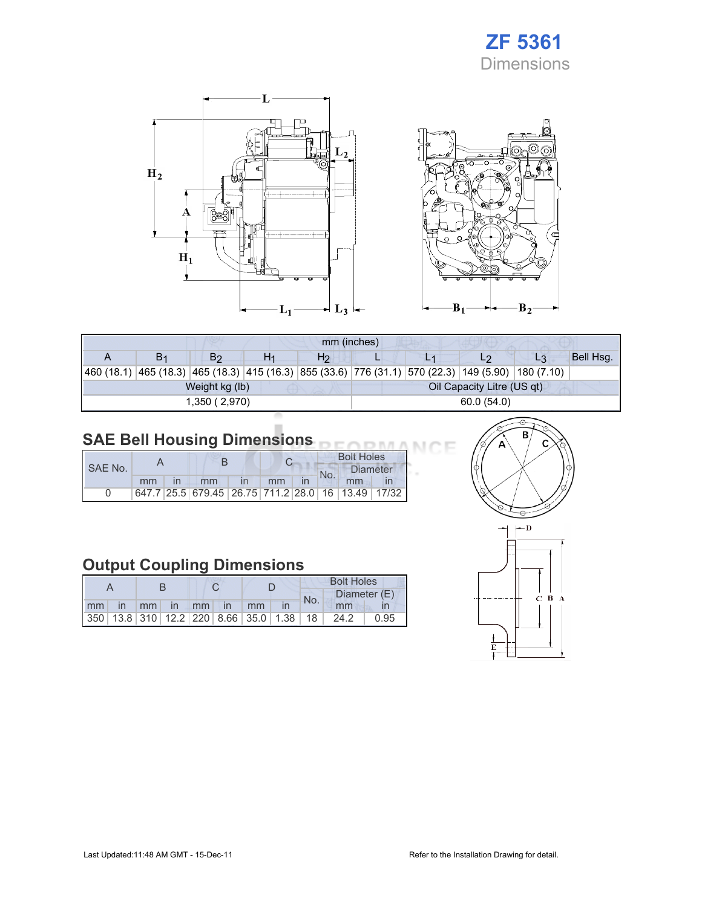## ZF 5361 Dimensions

Œ



| mm (inches) |                |                |    |                |                            |  |                                                                                                    |    |           |  |  |
|-------------|----------------|----------------|----|----------------|----------------------------|--|----------------------------------------------------------------------------------------------------|----|-----------|--|--|
|             | B <sub>1</sub> | B <sub>2</sub> | H1 | H <sub>2</sub> |                            |  | L2                                                                                                 | L3 | Bell Hsg. |  |  |
|             |                |                |    |                |                            |  | 460 (18.1) 465 (18.3) 465 (18.3) 415 (16.3) 855 (33.6) 776 (31.1) 570 (22.3) 149 (5.90) 180 (7.10) |    |           |  |  |
|             |                | Weight kg (lb) |    |                | Oil Capacity Litre (US qt) |  |                                                                                                    |    |           |  |  |
|             |                | 1,350(2,970)   |    |                | 60.0(54.0)                 |  |                                                                                                    |    |           |  |  |

#### SAE Bell Housing Dimensions

|         |    |                                                   |    | <b>Bolt Holes</b> |                 |  |  |
|---------|----|---------------------------------------------------|----|-------------------|-----------------|--|--|
| SAE No. |    |                                                   |    | No.               | <b>Diameter</b> |  |  |
|         | mm | mm                                                | mm |                   | mm              |  |  |
|         |    | 647.7 25.5 679.45 26.75 711.2 28.0 16 13.49 17/32 |    |                   |                 |  |  |

## Output Coupling Dimensions

|    |      |             |       |               |                                                         | <b>Bolt Holes</b> |  |      |      |              |  |
|----|------|-------------|-------|---------------|---------------------------------------------------------|-------------------|--|------|------|--------------|--|
|    |      |             |       |               |                                                         |                   |  |      | No.  | Diameter (E) |  |
| mm | - in | $-1$ mm $-$ | in mm | $\mathsf{In}$ | mm                                                      |                   |  | mm   |      |              |  |
|    |      |             |       |               | 350   13.8   310   12.2   220   8.66   35.0   1.38   18 |                   |  | 24.2 | 0.95 |              |  |